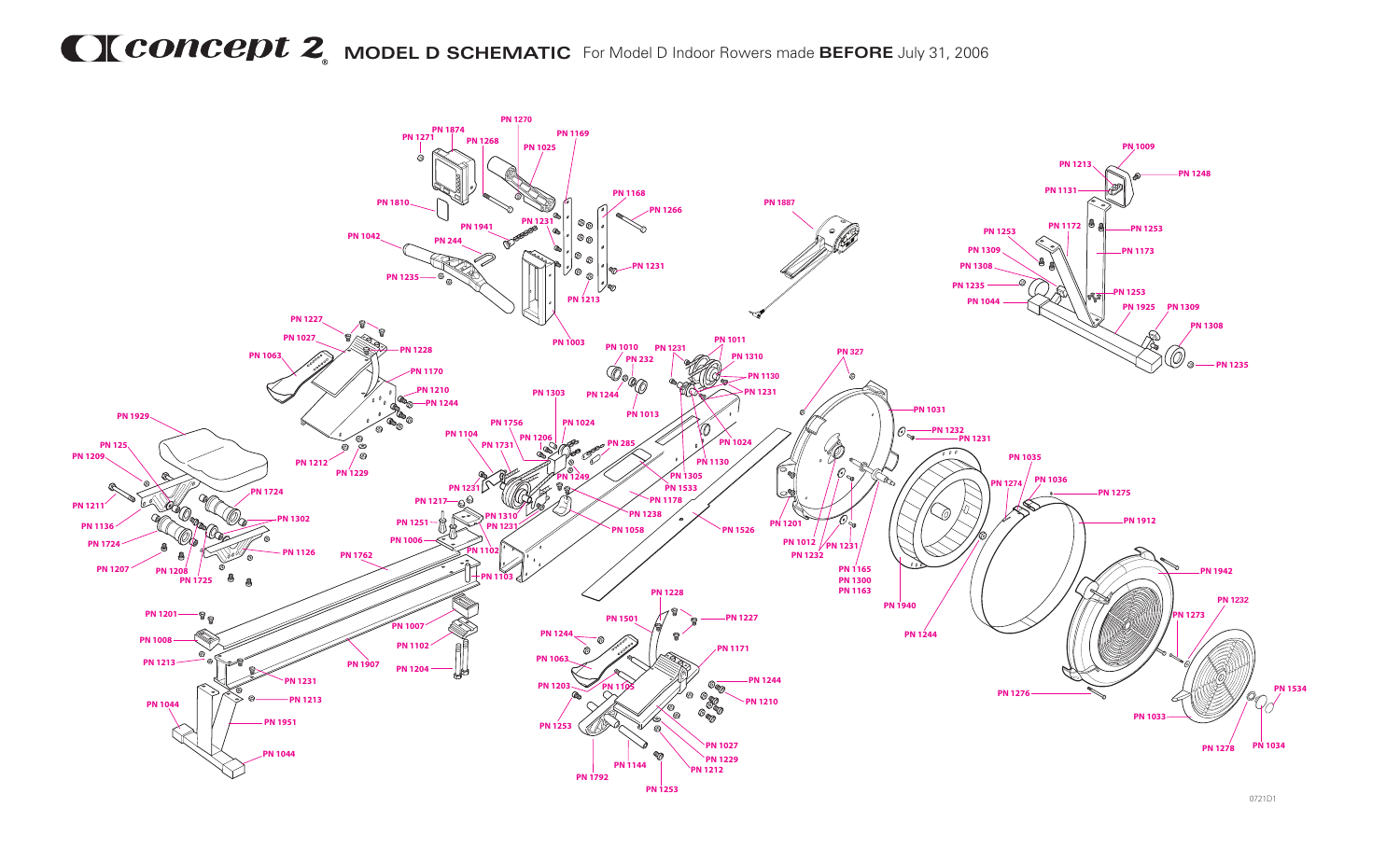## **MCONCEDU2** MODEL D SCHEMATIC For Model D Indoor Rowers made BEFORE July 31, 2006